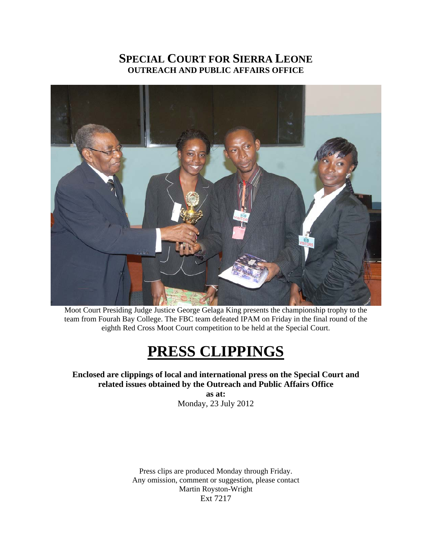## **SPECIAL COURT FOR SIERRA LEONE OUTREACH AND PUBLIC AFFAIRS OFFICE**



Moot Court Presiding Judge Justice George Gelaga King presents the championship trophy to the team from Fourah Bay College. The FBC team defeated IPAM on Friday in the final round of the eighth Red Cross Moot Court competition to be held at the Special Court.

## **PRESS CLIPPINGS**

**Enclosed are clippings of local and international press on the Special Court and related issues obtained by the Outreach and Public Affairs Office** 

**as at:**  Monday, 23 July 2012

Press clips are produced Monday through Friday. Any omission, comment or suggestion, please contact Martin Royston-Wright Ext 7217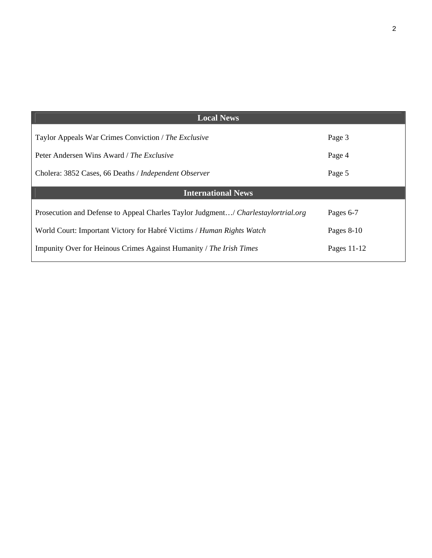| <b>Local News</b>                                                                 |              |
|-----------------------------------------------------------------------------------|--------------|
| Taylor Appeals War Crimes Conviction / The Exclusive                              | Page 3       |
| Peter Andersen Wins Award / The Exclusive                                         | Page 4       |
| Cholera: 3852 Cases, 66 Deaths / Independent Observer                             | Page 5       |
| <b>International News</b>                                                         |              |
| Prosecution and Defense to Appeal Charles Taylor Judgment/ Charlestaylortrial.org | Pages 6-7    |
| World Court: Important Victory for Habré Victims / Human Rights Watch             | Pages $8-10$ |
| Impunity Over for Heinous Crimes Against Humanity / The Irish Times               | Pages 11-12  |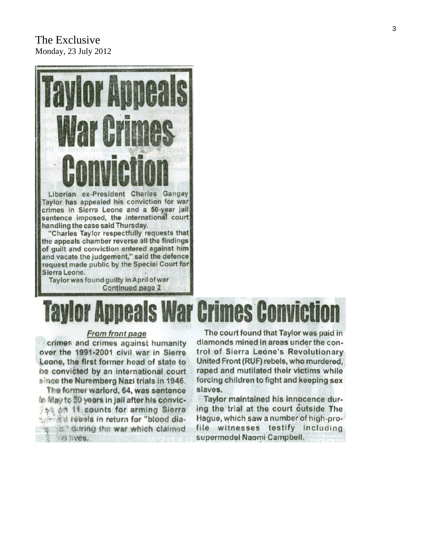## The Exclusive Monday, 23 July 2012



**Continued page 2** 

## **Appeals War Crimes Conviction**

#### From front page

crimes and crimes against humanity over the 1991-2001 civil war in Sierre Leone, the first former head of state to be convicted by an international court since the Nuremberg Nazi trials in 1946.

The former warlord, 64, was sentence 修 网络to 50 years in jail after his convic-15% on 11 counts for arming Sierra the state is the return for "blood dias" during the war which claimed We lives.

The court found that Taylor was paid in diamonds mined in areas under the control of Sierra Leone's Revolutionary United Front (RUF) rebels, who murdered. raped and mutilated their victims while forcing children to fight and keeping sex slaves.

Taylor maintained his innocence during the trial at the court outside The Hague, which saw a number of high-profile witnesses testify including supermodel Naomi Campbell.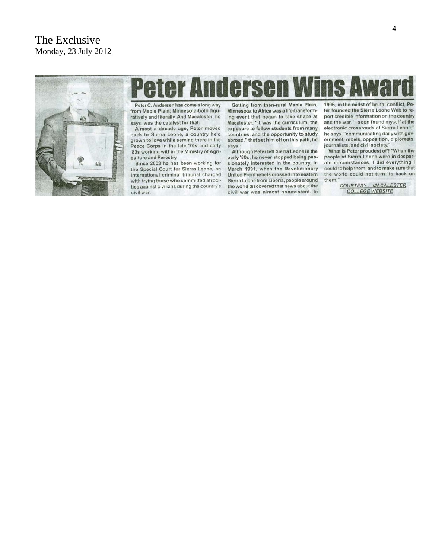## The Exclusive Monday, 23 July 2012



# **Peter Andersen Wins Av**

Peter C. Andersen has come a long way from Maple Plain, Minnesota-both figuratively and literally. And Macalester, he says, was the catalyst for that.

Almost a decade ago, Peter moved back to Sierra Leone, a country he'd grown to love while serving there in the Peace Corps in the late '70s and early '80s working within the Ministry of Agriculture and Forestry.

Since 2003 he has been working for the Special Court for Sierra Leone, an international criminal tribunal charged with trying those who committed atrocities against civilians during the country's civil war.

Getting from then-rural Maple Plain, Minnesota, to Africa was a life-transforming event that began to take shape at Macalester. "It was the curriculum, the exposure to fellow students from many countries, and the opportunity to study abroad," that set him off on this path, he says

Although Peter left Sierra Leone in the early '80s, he never stopped being passionately interested in the country. In March 1991, when the Revolutionary United Front rebels crossed into eastern Sierra Leone from Liberia, people around the world discovered that news about the civil war was almost nonexistent. In

1996, in the midst of brutal conflict, Pe ter founded the Sierra Leone Web to report credible information on the country and the war. "I soon found myself at the electronic crossroads of Sierra Leone," he says, "communicating daily with government, rebels, opposition, diplomats, journalists, and civil society."

What is Peter proudest of? "When the people of Sierra Leone were in desperate circumstances, I did everything I could to help them, and to make sure that the world could not turn its back on them."

COURTESY: MACALESTER **COLLEGE WEBSITE**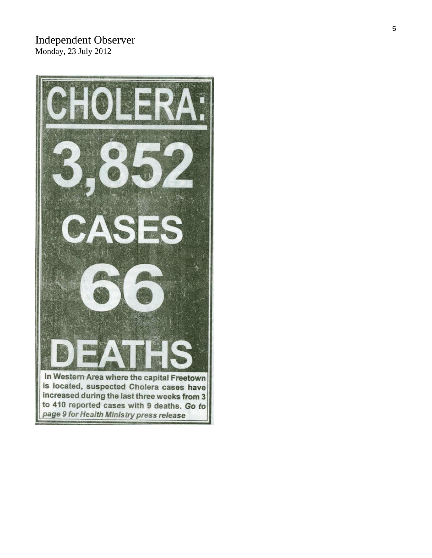## Independent Observer Monday, 23 July 2012

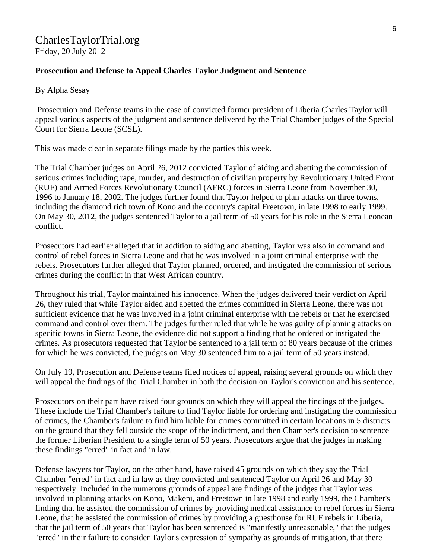## CharlesTaylorTrial.org

Friday, 20 July 2012

## **Prosecution and Defense to Appeal Charles Taylor Judgment and Sentence**

By Alpha Sesay

 Prosecution and Defense teams in the case of convicted former president of Liberia Charles Taylor will appeal various aspects of the judgment and sentence delivered by the Trial Chamber judges of the Special Court for Sierra Leone (SCSL).

This was made clear in separate filings made by the parties this week.

The Trial Chamber judges on April 26, 2012 convicted Taylor of aiding and abetting the commission of serious crimes including rape, murder, and destruction of civilian property by Revolutionary United Front (RUF) and Armed Forces Revolutionary Council (AFRC) forces in Sierra Leone from November 30, 1996 to January 18, 2002. The judges further found that Taylor helped to plan attacks on three towns, including the diamond rich town of Kono and the country's capital Freetown, in late 1998 to early 1999. On May 30, 2012, the judges sentenced Taylor to a jail term of 50 years for his role in the Sierra Leonean conflict.

Prosecutors had earlier alleged that in addition to aiding and abetting, Taylor was also in command and control of rebel forces in Sierra Leone and that he was involved in a joint criminal enterprise with the rebels. Prosecutors further alleged that Taylor planned, ordered, and instigated the commission of serious crimes during the conflict in that West African country.

Throughout his trial, Taylor maintained his innocence. When the judges delivered their verdict on April 26, they ruled that while Taylor aided and abetted the crimes committed in Sierra Leone, there was not sufficient evidence that he was involved in a joint criminal enterprise with the rebels or that he exercised command and control over them. The judges further ruled that while he was guilty of planning attacks on specific towns in Sierra Leone, the evidence did not support a finding that he ordered or instigated the crimes. As prosecutors requested that Taylor be sentenced to a jail term of 80 years because of the crimes for which he was convicted, the judges on May 30 sentenced him to a jail term of 50 years instead.

On July 19, Prosecution and Defense teams filed notices of appeal, raising several grounds on which they will appeal the findings of the Trial Chamber in both the decision on Taylor's conviction and his sentence.

Prosecutors on their part have raised four grounds on which they will appeal the findings of the judges. These include the Trial Chamber's failure to find Taylor liable for ordering and instigating the commission of crimes, the Chamber's failure to find him liable for crimes committed in certain locations in 5 districts on the ground that they fell outside the scope of the indictment, and then Chamber's decision to sentence the former Liberian President to a single term of 50 years. Prosecutors argue that the judges in making these findings "erred" in fact and in law.

Defense lawyers for Taylor, on the other hand, have raised 45 grounds on which they say the Trial Chamber "erred" in fact and in law as they convicted and sentenced Taylor on April 26 and May 30 respectively. Included in the numerous grounds of appeal are findings of the judges that Taylor was involved in planning attacks on Kono, Makeni, and Freetown in late 1998 and early 1999, the Chamber's finding that he assisted the commission of crimes by providing medical assistance to rebel forces in Sierra Leone, that he assisted the commission of crimes by providing a guesthouse for RUF rebels in Liberia, that the jail term of 50 years that Taylor has been sentenced is "manifestly unreasonable," that the judges "erred" in their failure to consider Taylor's expression of sympathy as grounds of mitigation, that there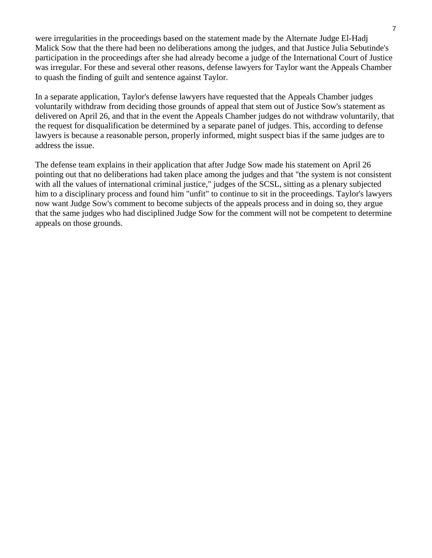were irregularities in the proceedings based on the statement made by the Alternate Judge El-Hadj Malick Sow that the there had been no deliberations among the judges, and that Justice Julia Sebutinde's participation in the proceedings after she had already become a judge of the International Court of Justice was irregular. For these and several other reasons, defense lawyers for Taylor want the Appeals Chamber to quash the finding of guilt and sentence against Taylor.

In a separate application, Taylor's defense lawyers have requested that the Appeals Chamber judges voluntarily withdraw from deciding those grounds of appeal that stem out of Justice Sow's statement as delivered on April 26, and that in the event the Appeals Chamber judges do not withdraw voluntarily, that the request for disqualification be determined by a separate panel of judges. This, according to defense lawyers is because a reasonable person, properly informed, might suspect bias if the same judges are to address the issue.

The defense team explains in their application that after Judge Sow made his statement on April 26 pointing out that no deliberations had taken place among the judges and that "the system is not consistent with all the values of international criminal justice," judges of the SCSL, sitting as a plenary subjected him to a disciplinary process and found him "unfit" to continue to sit in the proceedings. Taylor's lawyers now want Judge Sow's comment to become subjects of the appeals process and in doing so, they argue that the same judges who had disciplined Judge Sow for the comment will not be competent to determine appeals on those grounds.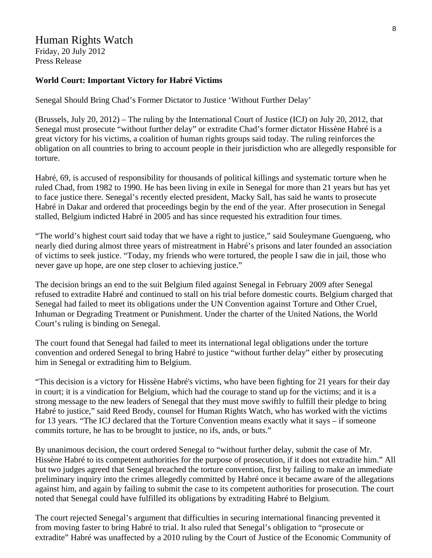## Human Rights Watch

Friday, 20 July 2012 Press Release

## **World Court: Important Victory for Habré Victims**

Senegal Should Bring Chad's Former Dictator to Justice 'Without Further Delay'

(Brussels, July 20, 2012) – The ruling by the International Court of Justice (ICJ) on July 20, 2012, that Senegal must prosecute "without further delay" or extradite Chad's former dictator Hissène Habré is a great victory for his victims, a coalition of human rights groups said today. The ruling reinforces the obligation on all countries to bring to account people in their jurisdiction who are allegedly responsible for torture.

Habré, 69, is accused of responsibility for thousands of political killings and systematic torture when he ruled Chad, from 1982 to 1990. He has been living in exile in Senegal for more than 21 years but has yet to face justice there. Senegal's recently elected president, Macky Sall, has said he wants to prosecute Habré in Dakar and ordered that proceedings begin by the end of the year. After prosecution in Senegal stalled, Belgium indicted Habré in 2005 and has since requested his extradition four times.

"The world's highest court said today that we have a right to justice," said Souleymane Guengueng, who nearly died during almost three years of mistreatment in Habré's prisons and later founded an association of victims to seek justice. "Today, my friends who were tortured, the people I saw die in jail, those who never gave up hope, are one step closer to achieving justice."

The decision brings an end to the suit Belgium filed against Senegal in February 2009 after Senegal refused to extradite Habré and continued to stall on his trial before domestic courts. Belgium charged that Senegal had failed to meet its obligations under the UN Convention against Torture and Other Cruel, Inhuman or Degrading Treatment or Punishment. Under the charter of the United Nations, the World Court's ruling is binding on Senegal.

The court found that Senegal had failed to meet its international legal obligations under the torture convention and ordered Senegal to bring Habré to justice "without further delay" either by prosecuting him in Senegal or extraditing him to Belgium.

"This decision is a victory for Hissène Habré's victims, who have been fighting for 21 years for their day in court; it is a vindication for Belgium, which had the courage to stand up for the victims; and it is a strong message to the new leaders of Senegal that they must move swiftly to fulfill their pledge to bring Habré to justice," said Reed Brody, counsel for Human Rights Watch, who has worked with the victims for 13 years. "The ICJ declared that the Torture Convention means exactly what it says – if someone commits torture, he has to be brought to justice, no ifs, ands, or buts."

By unanimous decision, the court ordered Senegal to "without further delay, submit the case of Mr. Hissène Habré to its competent authorities for the purpose of prosecution, if it does not extradite him." All but two judges agreed that Senegal breached the torture convention, first by failing to make an immediate preliminary inquiry into the crimes allegedly committed by Habré once it became aware of the allegations against him, and again by failing to submit the case to its competent authorities for prosecution. The court noted that Senegal could have fulfilled its obligations by extraditing Habré to Belgium.

The court rejected Senegal's argument that difficulties in securing international financing prevented it from moving faster to bring Habré to trial. It also ruled that Senegal's obligation to "prosecute or extradite" Habré was unaffected by a 2010 ruling by the Court of Justice of the Economic Community of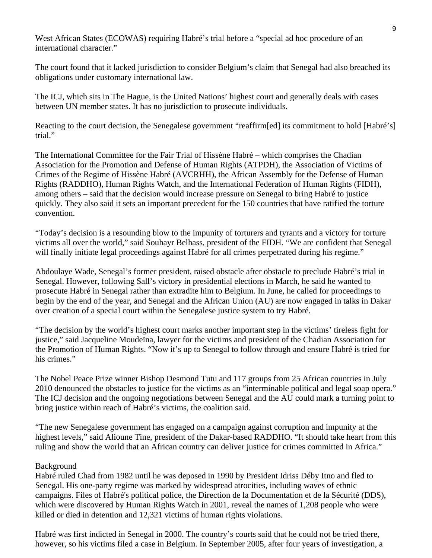West African States (ECOWAS) requiring Habré's trial before a "special ad hoc procedure of an international character."

The court found that it lacked jurisdiction to consider Belgium's claim that Senegal had also breached its obligations under customary international law.

The ICJ, which sits in The Hague, is the United Nations' highest court and generally deals with cases between UN member states. It has no jurisdiction to prosecute individuals.

Reacting to the court decision, the Senegalese government "reaffirm[ed] its commitment to hold [Habré's] trial."

The International Committee for the Fair Trial of Hissène Habré – which comprises the Chadian Association for the Promotion and Defense of Human Rights (ATPDH), the Association of Victims of Crimes of the Regime of Hissène Habré (AVCRHH), the African Assembly for the Defense of Human Rights (RADDHO), Human Rights Watch, and the International Federation of Human Rights (FIDH), among others – said that the decision would increase pressure on Senegal to bring Habré to justice quickly. They also said it sets an important precedent for the 150 countries that have ratified the torture convention.

"Today's decision is a resounding blow to the impunity of torturers and tyrants and a victory for torture victims all over the world," said Souhayr Belhass, president of the FIDH. "We are confident that Senegal will finally initiate legal proceedings against Habré for all crimes perpetrated during his regime."

Abdoulaye Wade, Senegal's former president, raised obstacle after obstacle to preclude Habré's trial in Senegal. However, following Sall's victory in presidential elections in March, he said he wanted to prosecute Habré in Senegal rather than extradite him to Belgium. In June, he called for proceedings to begin by the end of the year, and Senegal and the African Union (AU) are now engaged in talks in Dakar over creation of a special court within the Senegalese justice system to try Habré.

"The decision by the world's highest court marks another important step in the victims' tireless fight for justice," said Jacqueline Moudeïna, lawyer for the victims and president of the Chadian Association for the Promotion of Human Rights. "Now it's up to Senegal to follow through and ensure Habré is tried for his crimes."

The Nobel Peace Prize winner Bishop Desmond Tutu and 117 groups from 25 African countries in July 2010 denounced the obstacles to justice for the victims as an "interminable political and legal soap opera." The ICJ decision and the ongoing negotiations between Senegal and the AU could mark a turning point to bring justice within reach of Habré's victims, the coalition said.

"The new Senegalese government has engaged on a campaign against corruption and impunity at the highest levels," said Alioune Tine, president of the Dakar-based RADDHO. "It should take heart from this ruling and show the world that an African country can deliver justice for crimes committed in Africa."

## Background

Habré ruled Chad from 1982 until he was deposed in 1990 by President Idriss Déby Itno and fled to Senegal. His one-party regime was marked by widespread atrocities, including waves of ethnic campaigns. Files of Habré's political police, the Direction de la Documentation et de la Sécurité (DDS), which were discovered by Human Rights Watch in 2001, reveal the names of 1,208 people who were killed or died in detention and 12,321 victims of human rights violations.

Habré was first indicted in Senegal in 2000. The country's courts said that he could not be tried there, however, so his victims filed a case in Belgium. In September 2005, after four years of investigation, a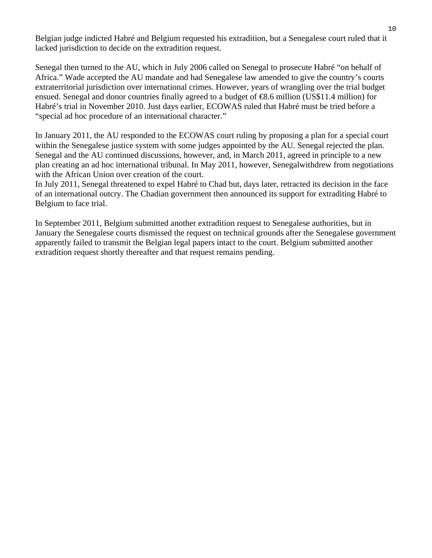Belgian judge indicted Habré and Belgium requested his extradition, but a Senegalese court ruled that it lacked jurisdiction to decide on the extradition request.

Senegal then turned to the AU, which in July 2006 called on Senegal to prosecute Habré "on behalf of Africa." Wade accepted the AU mandate and had Senegalese law amended to give the country's courts extraterritorial jurisdiction over international crimes. However, years of wrangling over the trial budget ensued. Senegal and donor countries finally agreed to a budget of €8.6 million (US\$11.4 million) for Habré's trial in November 2010. Just days earlier, ECOWAS ruled that Habré must be tried before a "special ad hoc procedure of an international character."

In January 2011, the AU responded to the ECOWAS court ruling by proposing a plan for a special court within the Senegalese justice system with some judges appointed by the AU. Senegal rejected the plan. Senegal and the AU continued discussions, however, and, in March 2011, agreed in principle to a new plan creating an ad hoc international tribunal. In May 2011, however, Senegalwithdrew from negotiations with the African Union over creation of the court.

In July 2011, Senegal threatened to expel Habré to Chad but, days later, retracted its decision in the face of an international outcry. The Chadian government then announced its support for extraditing Habré to Belgium to face trial.

In September 2011, Belgium submitted another extradition request to Senegalese authorities, but in January the Senegalese courts dismissed the request on technical grounds after the Senegalese government apparently failed to transmit the Belgian legal papers intact to the court. Belgium submitted another extradition request shortly thereafter and that request remains pending.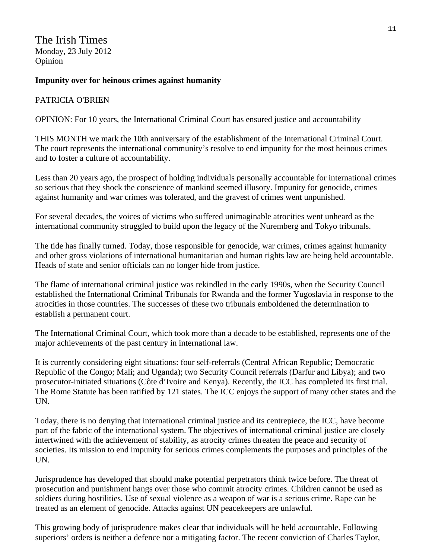The Irish Times Monday, 23 July 2012 Opinion

## **Impunity over for heinous crimes against humanity**

### PATRICIA O'BRIEN

OPINION: For 10 years, the International Criminal Court has ensured justice and accountability

THIS MONTH we mark the 10th anniversary of the establishment of the International Criminal Court. The court represents the international community's resolve to end impunity for the most heinous crimes and to foster a culture of accountability.

Less than 20 years ago, the prospect of holding individuals personally accountable for international crimes so serious that they shock the conscience of mankind seemed illusory. Impunity for genocide, crimes against humanity and war crimes was tolerated, and the gravest of crimes went unpunished.

For several decades, the voices of victims who suffered unimaginable atrocities went unheard as the international community struggled to build upon the legacy of the Nuremberg and Tokyo tribunals.

The tide has finally turned. Today, those responsible for genocide, war crimes, crimes against humanity and other gross violations of international humanitarian and human rights law are being held accountable. Heads of state and senior officials can no longer hide from justice.

The flame of international criminal justice was rekindled in the early 1990s, when the Security Council established the International Criminal Tribunals for Rwanda and the former Yugoslavia in response to the atrocities in those countries. The successes of these two tribunals emboldened the determination to establish a permanent court.

The International Criminal Court, which took more than a decade to be established, represents one of the major achievements of the past century in international law.

It is currently considering eight situations: four self-referrals (Central African Republic; Democratic Republic of the Congo; Mali; and Uganda); two Security Council referrals (Darfur and Libya); and two prosecutor-initiated situations (Côte d'Ivoire and Kenya). Recently, the ICC has completed its first trial. The Rome Statute has been ratified by 121 states. The ICC enjoys the support of many other states and the UN.

Today, there is no denying that international criminal justice and its centrepiece, the ICC, have become part of the fabric of the international system. The objectives of international criminal justice are closely intertwined with the achievement of stability, as atrocity crimes threaten the peace and security of societies. Its mission to end impunity for serious crimes complements the purposes and principles of the UN.

Jurisprudence has developed that should make potential perpetrators think twice before. The threat of prosecution and punishment hangs over those who commit atrocity crimes. Children cannot be used as soldiers during hostilities. Use of sexual violence as a weapon of war is a serious crime. Rape can be treated as an element of genocide. Attacks against UN peacekeepers are unlawful.

This growing body of jurisprudence makes clear that individuals will be held accountable. Following superiors' orders is neither a defence nor a mitigating factor. The recent conviction of Charles Taylor,